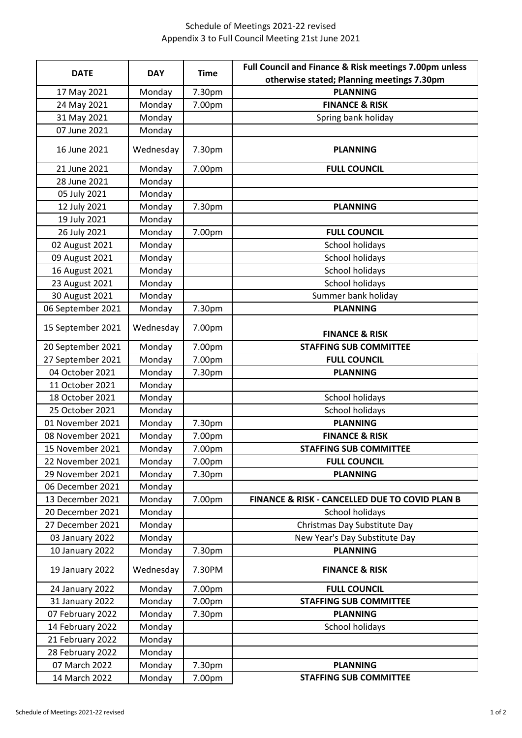## Schedule of Meetings 2021-22 revised Appendix 3 to Full Council Meeting 21st June 2021

| <b>DATE</b>       | <b>DAY</b> | <b>Time</b> | Full Council and Finance & Risk meetings 7.00pm unless |
|-------------------|------------|-------------|--------------------------------------------------------|
|                   |            |             | otherwise stated; Planning meetings 7.30pm             |
| 17 May 2021       | Monday     | 7.30pm      | <b>PLANNING</b>                                        |
| 24 May 2021       | Monday     | 7.00pm      | <b>FINANCE &amp; RISK</b>                              |
| 31 May 2021       | Monday     |             | Spring bank holiday                                    |
| 07 June 2021      | Monday     |             |                                                        |
| 16 June 2021      | Wednesday  | 7.30pm      | <b>PLANNING</b>                                        |
| 21 June 2021      | Monday     | 7.00pm      | <b>FULL COUNCIL</b>                                    |
| 28 June 2021      | Monday     |             |                                                        |
| 05 July 2021      | Monday     |             |                                                        |
| 12 July 2021      | Monday     | 7.30pm      | <b>PLANNING</b>                                        |
| 19 July 2021      | Monday     |             |                                                        |
| 26 July 2021      | Monday     | 7.00pm      | <b>FULL COUNCIL</b>                                    |
| 02 August 2021    | Monday     |             | School holidays                                        |
| 09 August 2021    | Monday     |             | <b>School holidays</b>                                 |
| 16 August 2021    | Monday     |             | School holidays                                        |
| 23 August 2021    | Monday     |             | School holidays                                        |
| 30 August 2021    | Monday     |             | Summer bank holiday                                    |
| 06 September 2021 | Monday     | 7.30pm      | <b>PLANNING</b>                                        |
| 15 September 2021 | Wednesday  | 7.00pm      | <b>FINANCE &amp; RISK</b>                              |
| 20 September 2021 | Monday     | 7.00pm      | <b>STAFFING SUB COMMITTEE</b>                          |
| 27 September 2021 | Monday     | 7.00pm      | <b>FULL COUNCIL</b>                                    |
| 04 October 2021   | Monday     | 7.30pm      | <b>PLANNING</b>                                        |
| 11 October 2021   | Monday     |             |                                                        |
| 18 October 2021   | Monday     |             | School holidays                                        |
| 25 October 2021   | Monday     |             | School holidays                                        |
| 01 November 2021  | Monday     | 7.30pm      | <b>PLANNING</b>                                        |
| 08 November 2021  | Monday     | 7.00pm      | <b>FINANCE &amp; RISK</b>                              |
| 15 November 2021  | Monday     | 7.00pm      | <b>STAFFING SUB COMMITTEE</b>                          |
| 22 November 2021  | Monday     | 7.00pm      | <b>FULL COUNCIL</b>                                    |
| 29 November 2021  | Monday     | 7.30pm      | <b>PLANNING</b>                                        |
| 06 December 2021  | Monday     |             |                                                        |
| 13 December 2021  | Monday     | 7.00pm      | FINANCE & RISK - CANCELLED DUE TO COVID PLAN B         |
| 20 December 2021  | Monday     |             | School holidays                                        |
| 27 December 2021  | Monday     |             | Christmas Day Substitute Day                           |
| 03 January 2022   | Monday     |             | New Year's Day Substitute Day                          |
| 10 January 2022   | Monday     | 7.30pm      | <b>PLANNING</b>                                        |
| 19 January 2022   | Wednesday  | 7.30PM      | <b>FINANCE &amp; RISK</b>                              |
| 24 January 2022   | Monday     | 7.00pm      | <b>FULL COUNCIL</b>                                    |
| 31 January 2022   | Monday     | 7.00pm      | <b>STAFFING SUB COMMITTEE</b>                          |
| 07 February 2022  | Monday     | 7.30pm      | <b>PLANNING</b>                                        |
| 14 February 2022  | Monday     |             | School holidays                                        |
| 21 February 2022  | Monday     |             |                                                        |
| 28 February 2022  | Monday     |             |                                                        |
| 07 March 2022     | Monday     | 7.30pm      | <b>PLANNING</b>                                        |
| 14 March 2022     | Monday     | 7.00pm      | <b>STAFFING SUB COMMITTEE</b>                          |